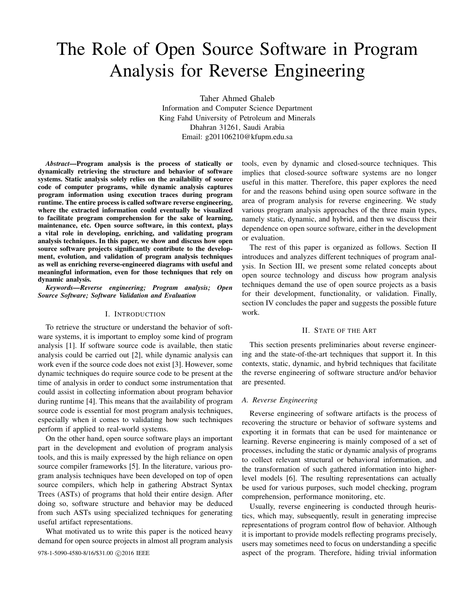# The Role of Open Source Software in Program Analysis for Reverse Engineering

Taher Ahmed Ghaleb Information and Computer Science Department King Fahd University of Petroleum and Minerals Dhahran 31261, Saudi Arabia Email: g201106210@kfupm.edu.sa

*Abstract*—Program analysis is the process of statically or dynamically retrieving the structure and behavior of software systems. Static analysis solely relies on the availability of source code of computer programs, while dynamic analysis captures program information using execution traces during program runtime. The entire process is called software reverse engineering, where the extracted information could eventually be visualized to facilitate program comprehension for the sake of learning, maintenance, etc. Open source software, in this context, plays a vital role in developing, enriching, and validating program analysis techniques. In this paper, we show and discuss how open source software projects significantly contribute to the development, evolution, and validation of program analysis techniques as well as enriching reverse-engineered diagrams with useful and meaningful information, even for those techniques that rely on dynamic analysis.

*Keywords—Reverse engineering; Program analysis; Open Source Software; Software Validation and Evaluation*

#### I. INTRODUCTION

To retrieve the structure or understand the behavior of software systems, it is important to employ some kind of program analysis [1]. If software source code is available, then static analysis could be carried out [2], while dynamic analysis can work even if the source code does not exist [3]. However, some dynamic techniques do require source code to be present at the time of analysis in order to conduct some instrumentation that could assist in collecting information about program behavior during runtime [4]. This means that the availability of program source code is essential for most program analysis techniques, especially when it comes to validating how such techniques perform if applied to real-world systems.

On the other hand, open source software plays an important part in the development and evolution of program analysis tools, and this is maily expressed by the high reliance on open source compiler frameworks [5]. In the literature, various program analysis techniques have been developed on top of open source compilers, which help in gathering Abstract Syntax Trees (ASTs) of programs that hold their entire design. After doing so, software structure and behavior may be deduced from such ASTs using specialized techniques for generating useful artifact representations.

What motivated us to write this paper is the noticed heavy demand for open source projects in almost all program analysis tools, even by dynamic and closed-source techniques. This implies that closed-source software systems are no longer useful in this matter. Therefore, this paper explores the need for and the reasons behind using open source software in the area of program analysis for reverse engineering. We study various program analysis approaches of the three main types, namely static, dynamic, and hybrid, and then we discuss their dependence on open source software, either in the development or evaluation.

The rest of this paper is organized as follows. Section II introduces and analyzes different techniques of program analysis. In Section III, we present some related concepts about open source technology and discuss how program analysis techniques demand the use of open source projects as a basis for their development, functionality, or validation. Finally, section IV concludes the paper and suggests the possible future work.

#### II. STATE OF THE ART

This section presents preliminaries about reverse engineering and the state-of-the-art techniques that support it. In this contexts, static, dynamic, and hybrid techniques that facilitate the reverse engineering of software structure and/or behavior are presented.

#### *A. Reverse Engineering*

Reverse engineering of software artifacts is the process of recovering the structure or behavior of software systems and exporting it in formats that can be used for maintenance or learning. Reverse engineering is mainly composed of a set of processes, including the static or dynamic analysis of programs to collect relevant structural or behavioral information, and the transformation of such gathered information into higherlevel models [6]. The resulting representations can actually be used for various purposes, such model checking, program comprehension, performance monitoring, etc.

Usually, reverse engineering is conducted through heuristics, which may, subsequently, result in generating imprecise representations of program control flow of behavior. Although it is important to provide models reflecting programs precisely, users may sometimes need to focus on understanding a specific 978-1-5090-4580-8/16/\$31.00  $\odot$ 2016 IEEE aspect of the program. Therefore, hiding trivial information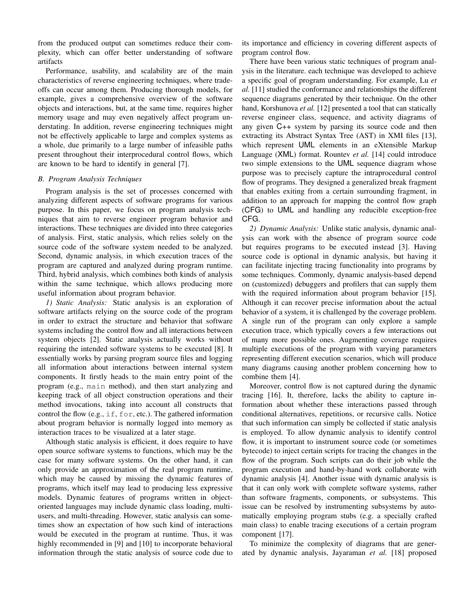from the produced output can sometimes reduce their complexity, which can offer better understanding of software artifacts

Performance, usability, and scalability are of the main characteristics of reverse engineering techniques, where tradeoffs can occur among them. Producing thorough models, for example, gives a comprehensive overview of the software objects and interactions, but, at the same time, requires higher memory usage and may even negatively affect program understating. In addition, reverse engineering techniques might not be effectively applicable to large and complex systems as a whole, due primarily to a large number of infeasible paths present throughout their interprocedural control flows, which are known to be hard to identify in general [7].

## *B. Program Analysis Techniques*

Program analysis is the set of processes concerned with analyzing different aspects of software programs for various purpose. In this paper, we focus on program analysis techniques that aim to reverse engineer program behavior and interactions. These techniques are divided into three categories of analysis. First, static analysis, which relies solely on the source code of the software system needed to be analyzed. Second, dynamic analysis, in which execution traces of the program are captured and analyzed during program runtime. Third, hybrid analysis, which combines both kinds of analysis within the same technique, which allows producing more useful information about program behavior.

*1) Static Analysis:* Static analysis is an exploration of software artifacts relying on the source code of the program in order to extract the structure and behavior that software systems including the control flow and all interactions between system objects [2]. Static analysis actually works without requiring the intended software systems to be executed [8]. It essentially works by parsing program source files and logging all information about interactions between internal system components. It firstly heads to the main entry point of the program (e.g., main method), and then start analyzing and keeping track of all object construction operations and their method invocations, taking into account all constructs that control the flow (e.g.,  $\text{if, for, etc.}$ ). The gathered information about program behavior is normally logged into memory as interaction traces to be visualized at a later stage.

Although static analysis is efficient, it does require to have open source software systems to functions, which may be the case for many software systems. On the other hand, it can only provide an approximation of the real program runtime, which may be caused by missing the dynamic features of programs, which itself may lead to producing less expressive models. Dynamic features of programs written in objectoriented languages may include dynamic class loading, multiusers, and multi-threading. However, static analysis can sometimes show an expectation of how such kind of interactions would be executed in the program at runtime. Thus, it was highly recommended in [9] and [10] to incorporate behavioral information through the static analysis of source code due to

its importance and efficiency in covering different aspects of program control flow.

There have been various static techniques of program analysis in the literature. each technique was developed to achieve a specific goal of program understanding. For example, Lu *et al.* [11] studied the conformance and relationships the different sequence diagrams generated by their technique. On the other hand, Korshunova *et al.* [12] presented a tool that can statically reverse engineer class, sequence, and activity diagrams of any given C++ system by parsing its source code and then extracting its Abstract Syntax Tree (AST) in XMI files [13], which represent UML elements in an eXtensible Markup Language (XML) format. Rountev *et al.* [14] could introduce two simple extensions to the UML sequence diagram whose purpose was to precisely capture the intraprocedural control flow of programs. They designed a generalized break fragment that enables exiting from a certain surrounding fragment, in addition to an approach for mapping the control flow graph (CFG) to UML and handling any reducible exception-free CFG.

*2) Dynamic Analysis:* Unlike static analysis, dynamic analysis can work with the absence of program source code but requires programs to be executed instead [3]. Having source code is optional in dynamic analysis, but having it can facilitate injecting tracing functionality into programs by some techniques. Commonly, dynamic analysis-based depend on (customized) debuggers and profilers that can supply them with the required information about program behavior [15]. Although it can recover precise information about the actual behavior of a system, it is challenged by the coverage problem. A single run of the program can only explore a sample execution trace, which typically covers a few interactions out of many more possible ones. Augmenting coverage requires multiple executions of the program with varying parameters representing different execution scenarios, which will produce many diagrams causing another problem concerning how to combine them [4].

Moreover, control flow is not captured during the dynamic tracing [16]. It, therefore, lacks the ability to capture information about whether these interactions passed through conditional alternatives, repetitions, or recursive calls. Notice that such information can simply be collected if static analysis is employed. To allow dynamic analysis to identify control flow, it is important to instrument source code (or sometimes bytecode) to inject certain scripts for tracing the changes in the flow of the program. Such scripts can do their job while the program execution and hand-by-hand work collaborate with dynamic analysis [4]. Another issue with dynamic analysis is that it can only work with complete software systems, rather than software fragments, components, or subsystems. This issue can be resolved by instrumenting subsystems by automatically employing program stubs (e.g. a specially crafted main class) to enable tracing executions of a certain program component [17].

To minimize the complexity of diagrams that are generated by dynamic analysis, Jayaraman *et al.* [18] proposed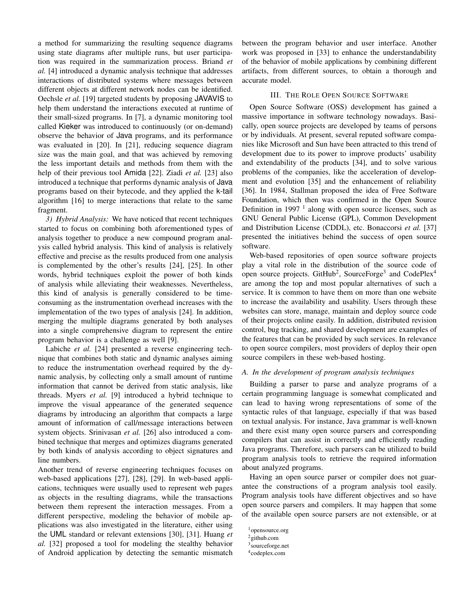a method for summarizing the resulting sequence diagrams using state diagrams after multiple runs, but user participation was required in the summarization process. Briand *et al.* [4] introduced a dynamic analysis technique that addresses interactions of distributed systems where messages between different objects at different network nodes can be identified. Oechsle *et al.* [19] targeted students by proposing JAVAVIS to help them understand the interactions executed at runtime of their small-sized programs. In [7], a dynamic monitoring tool called Kieker was introduced to continuously (or on-demand) observe the behavior of Java programs, and its performance was evaluated in [20]. In [21], reducing sequence diagram size was the main goal, and that was achieved by removing the less important details and methods from them with the help of their previous tool Amida [22]. Ziadi *et al.* [23] also introduced a technique that performs dynamic analysis of Java programs based on their bytecode, and they applied the k-tail algorithm [16] to merge interactions that relate to the same fragment.

*3) Hybrid Analysis:* We have noticed that recent techniques started to focus on combining both aforementioned types of analysis together to produce a new compound program analysis called hybrid analysis. This kind of analysis is relatively effective and precise as the results produced from one analysis is complemented by the other's results [24], [25]. In other words, hybrid techniques exploit the power of both kinds of analysis while alleviating their weaknesses. Nevertheless, this kind of analysis is generally considered to be timeconsuming as the instrumentation overhead increases with the implementation of the two types of analysis [24]. In addition, merging the multiple diagrams generated by both analyses into a single comprehensive diagram to represent the entire program behavior is a challenge as well [9].

Labiche *et al.* [24] presented a reverse engineering technique that combines both static and dynamic analyses aiming to reduce the instrumentation overhead required by the dynamic analysis, by collecting only a small amount of runtime information that cannot be derived from static analysis, like threads. Myers *et al.* [9] introduced a hybrid technique to improve the visual appearance of the generated sequence diagrams by introducing an algorithm that compacts a large amount of information of call/message interactions between system objects. Srinivasan *et al.* [26] also introduced a combined technique that merges and optimizes diagrams generated by both kinds of analysis according to object signatures and line numbers.

Another trend of reverse engineering techniques focuses on web-based applications [27], [28], [29]. In web-based applications, techniques were usually used to represent web pages as objects in the resulting diagrams, while the transactions between them represent the interaction messages. From a different perspective, modeling the behavior of mobile applications was also investigated in the literature, either using the UML standard or relevant extensions [30], [31]. Huang *et al.* [32] proposed a tool for modeling the stealthy behavior of Android application by detecting the semantic mismatch between the program behavior and user interface. Another work was proposed in [33] to enhance the understandability of the behavior of mobile applications by combining different artifacts, from different sources, to obtain a thorough and accurate model.

# III. THE ROLE OPEN SOURCE SOFTWARE

Open Source Software (OSS) development has gained a massive importance in software technology nowadays. Basically, open source projects are developed by teams of persons or by individuals. At present, several reputed software companies like Microsoft and Sun have been attracted to this trend of development due to its power to improve products' usability and extendability of the products [34], and to solve various problems of the companies, like the acceleration of development and evolution [35] and the enhancement of reliability [36]. In 1984, Stallman proposed the idea of Free Software Foundation, which then was confirmed in the Open Source Definition in  $1997<sup>1</sup>$  along with open source licenses, such as GNU General Public License (GPL), Common Development and Distribution License (CDDL), etc. Bonaccorsi *et al.* [37] presented the initiatives behind the success of open source software.

Web-based repositories of open source software projects play a vital role in the distribution of the source code of open source projects. GitHub<sup>2</sup>, SourceForge<sup>3</sup> and CodePlex<sup>4</sup> are among the top and most popular alternatives of such a service. It is common to have them on more than one website to increase the availability and usability. Users through these websites can store, manage, maintain and deploy source code of their projects online easily. In addition, distributed revision control, bug tracking, and shared development are examples of the features that can be provided by such services. In relevance to open source compilers, most providers of deploy their open source compilers in these web-based hosting.

## *A. In the development of program analysis techniques*

Building a parser to parse and analyze programs of a certain programming language is somewhat complicated and can lead to having wrong representations of some of the syntactic rules of that language, especially if that was based on textual analysis. For instance, Java grammar is well-known and there exist many open source parsers and corresponding compilers that can assist in correctly and efficiently reading Java programs. Therefore, such parsers can be utilized to build program analysis tools to retrieve the required information about analyzed programs.

Having an open source parser or compiler does not guarantee the constructions of a program analysis tool easily. Program analysis tools have different objectives and so have open source parsers and compilers. It may happen that some of the available open source parsers are not extensible, or at

<sup>1</sup>opensource.org

<sup>2</sup>github.com

<sup>3</sup> sourceforge.net

<sup>4</sup> codeplex.com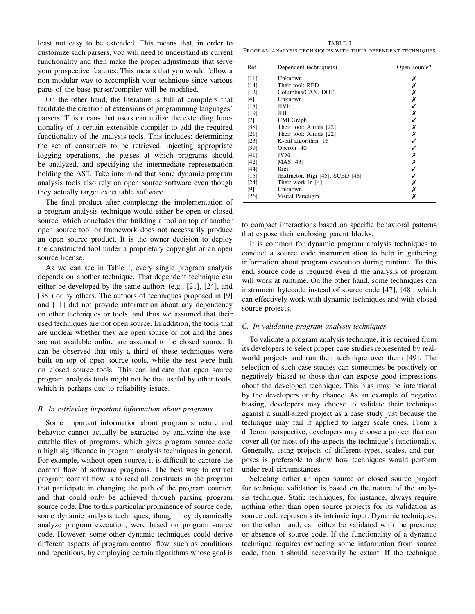least not easy to be extended. This means that, in order to customize such parsers, you will need to understand its current functionality and then make the proper adjustments that serve your prospective features. This means that you would follow a non-modular way to accomplish your technique since various parts of the base parser/compiler will be modified.

On the other hand, the literature is full of compilers that facilitate the creation of extensions of programming languages' parsers. This means that users can utilize the extending functionality of a certain extensible compiler to add the required functionality of the analysis tools. This includes: determining the set of constructs to be retrieved, injecting appropriate logging operations, the passes at which programs should be analyzed, and specifying the intermediate representation holding the AST. Take into mind that some dynamic program analysis tools also rely on open source software even though they actually target executable software.

The final product after completing the implementation of a program analysis technique would either be open or closed source, which concludes that building a tool on top of another open source tool or framework does not necessarily produce an open source product. It is the owner decision to deploy the constructed tool under a proprietary copyright or an open source license.

As we can see in Table I, every single program analysis depends on another technique. That dependent technique can either be developed by the same authors (e.g., [21], [24], and [38]) or by others. The authors of techniques proposed in [9] and [11] did not provide information about any dependency on other techniques or tools, and thus we assumed that their used techniques are not open source. In addition, the tools that are unclear whether they are open source or not and the ones are not available online are assumed to be closed source. It can be observed that only a third of these techniques were built on top of open source tools, while the rest were built on closed source tools. This can indicate that open source program analysis tools might not be that useful by other tools, which is perhaps due to reliability issues.

## *B. In retrieving important information about programs*

Some important information about program structure and behavior cannot actually be extracted by analyzing the executable files of programs, which gives program source code a high significance in program analysis techniques in general. For example, without open source, it is difficult to capture the control flow of software programs. The best way to extract program control flow is to read all constructs in the program that participate in changing the path of the program counter, and that could only be achieved through parsing program source code. Due to this particular prominence of source code, some dynamic analysis techniques, though they dynamically analyze program execution, were based on program source code. However, some other dynamic techniques could derive different aspects of program control flow, such as conditions and repetitions, by employing certain algorithms whose goal is

TABLE I PROGRAM ANALYSIS TECHNIQUES WITH THEIR DEPENDENT TECHNIQUES

| Ref.   | Dependent technique(s)           | Open source? |
|--------|----------------------------------|--------------|
| [11]   | Unknown                          | х            |
| [14]   | Their tool: RED                  | х            |
| [12]   | Columbus/CAN, DOT                |              |
| [4]    | Unknown                          | ×            |
| [18]   | JIVE                             |              |
| [19]   | JDI                              |              |
| [7]    | UMLGraph                         |              |
| $[38]$ | Their tool: Amida [22]           | x            |
| [21]   | Their tool: Amida [22]           |              |
| [23]   | K-tail algorithm [16]            |              |
| [39]   | Oberon [40]                      |              |
| [41]   | <b>JVM</b>                       |              |
| $[42]$ | MAS [43]                         | Х            |
| [44]   | Rigi                             |              |
| $[15]$ | JExtractor, Rigi [45], SCED [46] |              |
| [24]   | Their work in [4]                | x            |
| [9]    | Unknown                          | X            |
| [26]   | Visual Paradigm                  | х            |

to compact interactions based on specific behavioral patterns that expose their enclosing parent blocks.

It is common for dynamic program analysis techniques to conduct a source code instrumentation to help in gathering information about program execution during runtime. To this end, source code is required even if the analysis of program will work at runtime. On the other hand, some techniques can instrument bytecode instead of source code [47], [48], which can effectively work with dynamic techniques and with closed source projects.

### *C. In validating program analysis techniques*

To validate a program analysis technique, it is required from its developers to select proper case studies represented by realworld projects and run their technique over them [49]. The selection of such case studies can sometimes be positively or negatively biased to those that can expose good impressions about the developed technique. This bias may be intentional by the developers or by chance. As an example of negative biasing, developers may choose to validate their technique against a small-sized project as a case study just because the technique may fail if applied to larger scale ones. From a different perspective, developers may choose a project that can cover all (or most of) the aspects the technique's functionality. Generally, using projects of different types, scales, and purposes is preferable to show how techniques would perform under real circumstances.

Selecting either an open source or closed source project for technique validation is based on the nature of the analysis technique. Static techniques, for instance, always require nothing other than open source projects for its validation as source code represents its intrinsic input. Dynamic techniques, on the other hand, can either be validated with the presence or absence of source code. If the functionality of a dynamic technique requires extracting some information from source code, then it should necessarily be extant. If the technique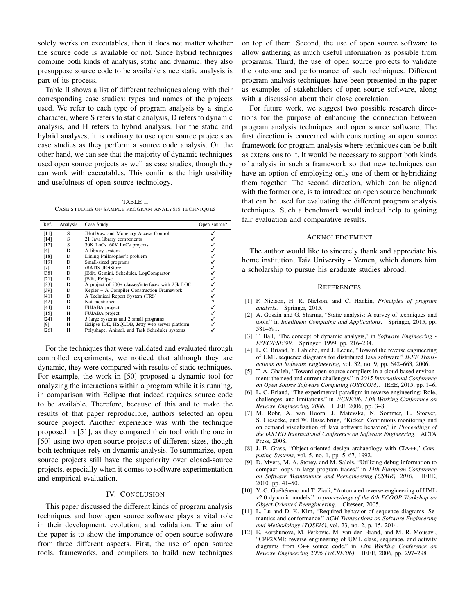solely works on executables, then it does not matter whether the source code is available or not. Since hybrid techniques combine both kinds of analysis, static and dynamic, they also presuppose source code to be available since static analysis is part of its process.

Table II shows a list of different techniques along with their corresponding case studies: types and names of the projects used. We refer to each type of program analysis by a single character, where S refers to static analysis, D refers to dynamic analysis, and H refers to hybrid analysis. For the static and hybrid analyses, it is ordinary to use open source projects as case studies as they perform a source code analysis. On the other hand, we can see that the majority of dynamic techniques used open source projects as well as case studies, though they can work with executables. This confirms the high usability and usefulness of open source technology.

TABLE II CASE STUDIES OF SAMPLE PROGRAM ANALYSIS TECHNIQUES

| Ref.   | Analysis | Case Study                                        | Open source? |
|--------|----------|---------------------------------------------------|--------------|
| [11]   | S        | JHotDraw and Monetary Access Control              |              |
| $[14]$ | S        | 21 Java library components                        |              |
| [12]   | S        | 30K LoCs, 60K LoCs projects                       |              |
| [4]    | D        | A library system                                  |              |
| [18]   | D        | Dining Philosopher's problem                      |              |
| [19]   | D        | Small-sized programs                              |              |
| [7]    | D        | iBATIS JPetStore                                  |              |
| [38]   | D        | jEdit, Gemini, Scheduler, LogCompactor            |              |
| [21]   | D        | jEdit, Eclipse                                    |              |
| [23]   | D        | A project of 500+ classes/interfaces with 25k LOC |              |
| [39]   | D        | Kepler + A Compiler Construction Framework        |              |
| [41]   | D        | A Technical Report System (TRS)                   |              |
| [42]   | D        | Not mentioned                                     |              |
| [44]   | D        | FUJABA project                                    |              |
| $[15]$ | н        | FUJABA project                                    |              |
| [24]   | Н        | 5 large systems and 2 small programs              |              |
| [9]    | Н        | Eclipse IDE, HSQLDB, Jetty web server platform    |              |
| [26]   | Н        | Polyshape, Animal, and Task Scheduler systems     |              |

For the techniques that were validated and evaluated through controlled experiments, we noticed that although they are dynamic, they were compared with results of static techniques. For example, the work in [50] proposed a dynamic tool for analyzing the interactions within a program while it is running, in comparison with Eclipse that indeed requires source code to be available. Therefore, because of this and to make the results of that paper reproducible, authors selected an open source project. Another experience was with the technique proposed in [51], as they compared their tool with the one in [50] using two open source projects of different sizes, though both techniques rely on dynamic analysis. To summarize, open source projects still have the superiority over closed-source projects, especially when it comes to software experimentation and empirical evaluation.

# IV. CONCLUSION

This paper discussed the different kinds of program analysis techniques and how open source software plays a vital role in their development, evolution, and validation. The aim of the paper is to show the importance of open source software from three different aspects. First, the use of open source tools, frameworks, and compilers to build new techniques on top of them. Second, the use of open source software to allow gathering as much useful information as possible from programs. Third, the use of open source projects to validate the outcome and performance of such techniques. Different program analysis techniques have been presented in the paper as examples of stakeholders of open source software, along with a discussion about their close correlation.

For future work, we suggest two possible research directions for the purpose of enhancing the connection between program analysis techniques and open source software. The first direction is concerned with constructing an open source framework for program analysis where techniques can be built as extensions to it. It would be necessary to support both kinds of analysis in such a framework so that new techniques can have an option of employing only one of them or hybridizing them together. The second direction, which can be aligned with the former one, is to introduce an open source benchmark that can be used for evaluating the different program analysis techniques. Such a benchmark would indeed help to gaining fair evaluation and comparative results.

#### ACKNOLEDGEMENT

The author would like to sincerely thank and appreciate his home institution, Taiz University - Yemen, which donors him a scholarship to pursue his graduate studies abroad.

#### **REFERENCES**

- [1] F. Nielson, H. R. Nielson, and C. Hankin, *Principles of program analysis*. Springer, 2015.
- [2] A. Gosain and G. Sharma, "Static analysis: A survey of techniques and tools," in *Intelligent Computing and Applications*. Springer, 2015, pp. 581–591.
- [3] T. Ball, "The concept of dynamic analysis," in *Software Engineering - ESEC/FSE'99*. Springer, 1999, pp. 216–234.
- [4] L. C. Briand, Y. Labiche, and J. Leduc, "Toward the reverse engineering of UML sequence diagrams for distributed Java software," *IEEE Transactions on Software Engineering*, vol. 32, no. 9, pp. 642–663, 2006.
- [5] T. A. Ghaleb, "Toward open-source compilers in a cloud-based environment: the need and current challenges," in *2015 International Conference on Open Source Software Computing (OSSCOM)*. IEEE, 2015, pp. 1–6.
- [6] L. C. Briand, "The experimental paradigm in reverse engineering: Role, challenges, and limitations," in *WCRE'06. 13th Working Conference on Reverse Engineering, 2006.* IEEE, 2006, pp. 3–8.
- [7] M. Rohr, A. van Hoorn, J. Matevska, N. Sommer, L. Stoever, S. Giesecke, and W. Hasselbring, "Kieker: Continuous monitoring and on demand visualization of Java software behavior," in *Proceedings of the IASTED International Conference on Software Engineering*. ACTA Press, 2008.
- [8] J. E. Grass, "Object-oriented design archaeology with CIA++," *Computing Systems*, vol. 5, no. 1, pp. 5–67, 1992.
- [9] D. Myers, M.-A. Storey, and M. Salois, "Utilizing debug information to compact loops in large program traces," in *14th European Conference on Software Maintenance and Reengineering (CSMR), 2010.* IEEE, 2010, pp. 41–50.
- [10] Y.-G. Guéhéneuc and T. Ziadi, "Automated reverse-engineering of UML v2.0 dynamic models," in *proceedings of the 6th ECOOP Workshop on Object-Oriented Reengineering*. Citeseer, 2005.
- [11] L. Lu and D.-K. Kim, "Required behavior of sequence diagrams: Semantics and conformance," *ACM Transactions on Software Engineering and Methodology (TOSEM)*, vol. 23, no. 2, p. 15, 2014.
- [12] E. Korshunova, M. Petkovic, M. van den Brand, and M. R. Mousavi, "CPP2XMI: reverse engineering of UML class, sequence, and activity diagrams from C++ source code," in *13th Working Conference on Reverse Engineering 2006 (WCRE'06)*. IEEE, 2006, pp. 297–298.